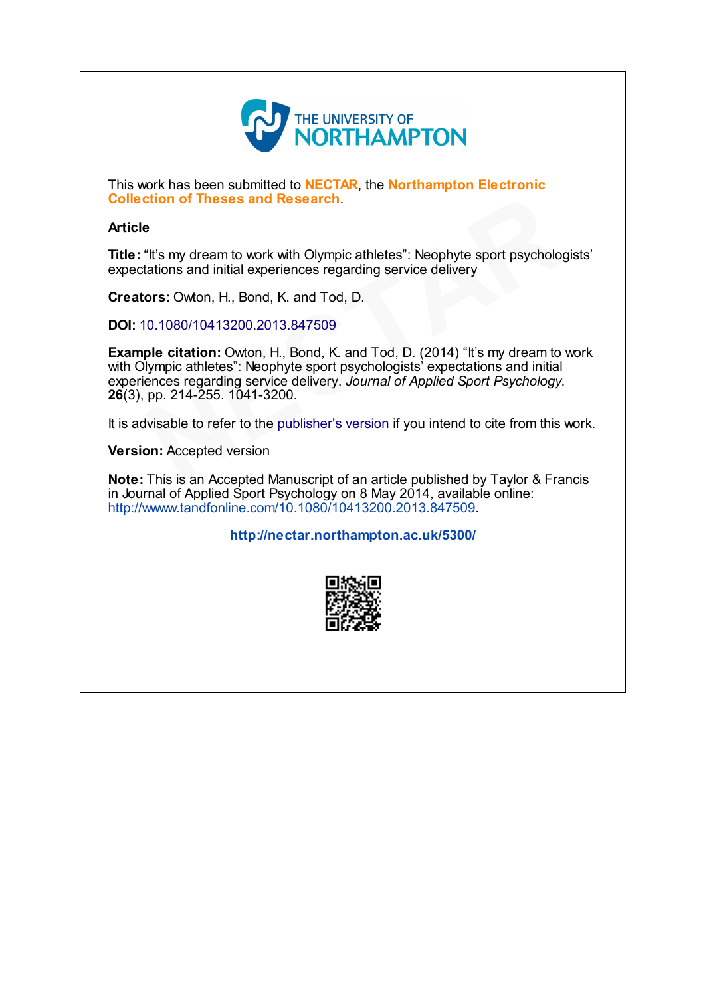

This work has been submitted to NECTAR, the Northampton Electronic Collection of Theses and Research.

# Article

Title: "It's my dream to work with Olympic athletes": Neophyte sport psychologists' expectations and initial experiences regarding service delivery

Creators: Owton, H., Bond, K. and Tod, D.

DOI: 10.1080/10413200.2013.847509

Example citation: Owton, H., Bond, K. and Tod, D. (2014) "It's my dream to work with Olympic athletes": Neophyte sport psychologists' expectations and initial experiences regarding service delivery. Journal of Applied Sport Psychology. 26(3), pp. 214-255. 1041-3200. **e**<br> **e**<br>
"It's my dream to work with Olympic athletes": Neophyte sport psycholog<br>
tations and initial experiences regarding service delivery<br> **ors:** Owton, H., Bond, K. and Tod, D.<br>
0.1080/10413200.2013.847509<br> **ple citat** 

It is advisable to refer to the publisher's version if you intend to cite from this work.

Version: Accepted version

Note: This is an Accepted Manuscript of an article published by Taylor & Francis in Journal of Applied Sport Psychology on 8 May 2014, available online: <http://wwww.tandfonline.com/10.1080/10413200.2013.847509>.

<http://nectar.northampton.ac.uk/5300/>

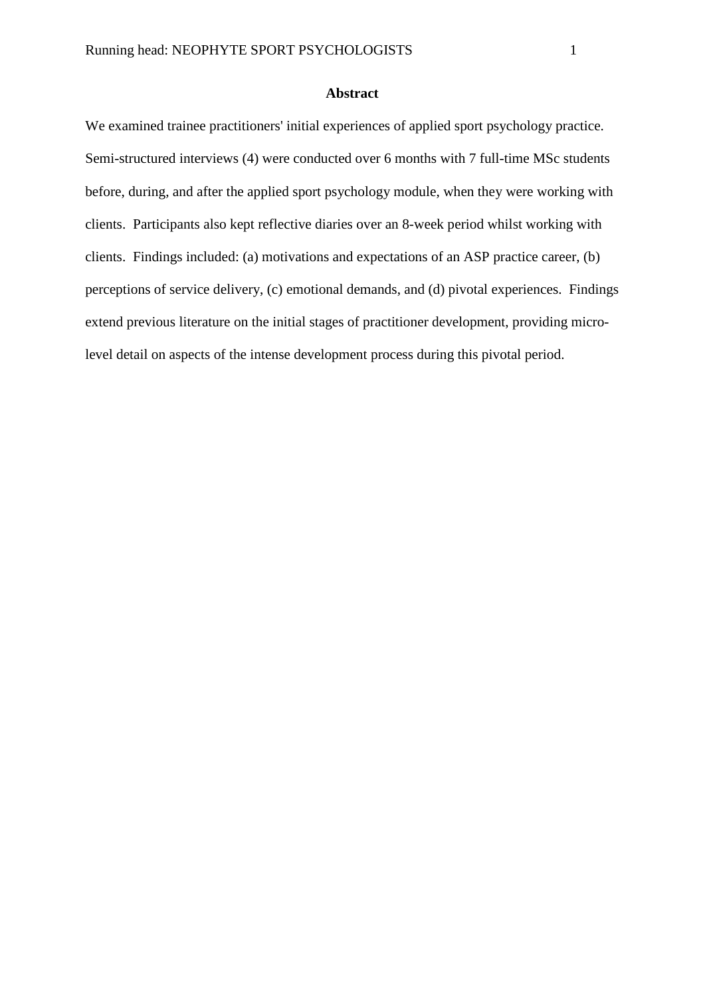#### **Abstract**

We examined trainee practitioners' initial experiences of applied sport psychology practice. Semi-structured interviews (4) were conducted over 6 months with 7 full-time MSc students before, during, and after the applied sport psychology module, when they were working with clients. Participants also kept reflective diaries over an 8-week period whilst working with clients. Findings included: (a) motivations and expectations of an ASP practice career, (b) perceptions of service delivery, (c) emotional demands, and (d) pivotal experiences. Findings extend previous literature on the initial stages of practitioner development, providing microlevel detail on aspects of the intense development process during this pivotal period.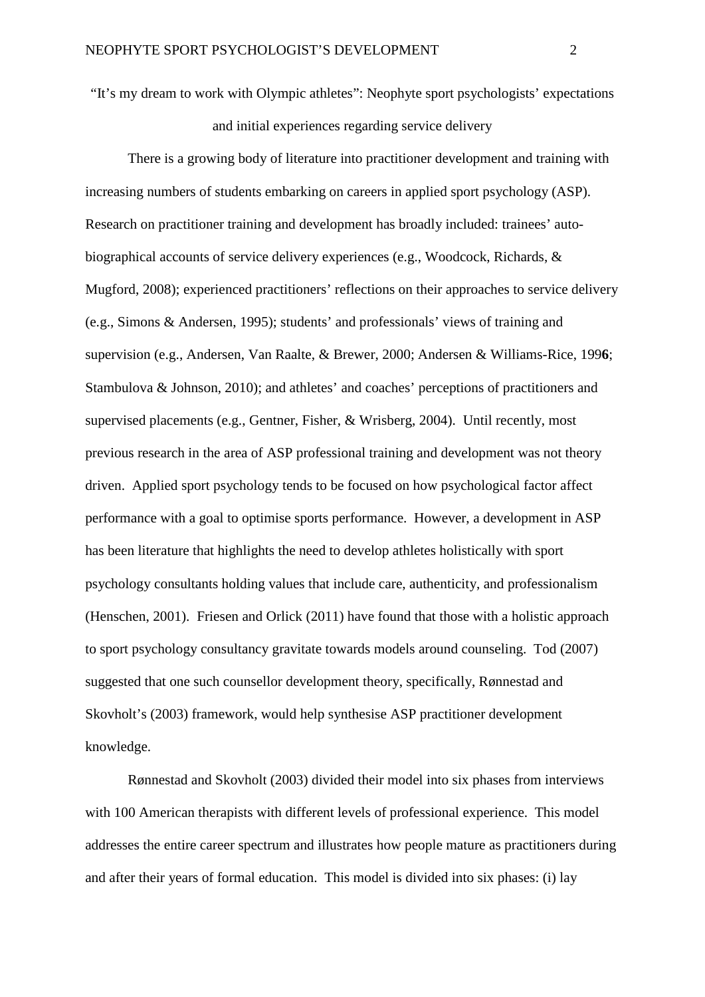"It's my dream to work with Olympic athletes": Neophyte sport psychologists' expectations and initial experiences regarding service delivery

There is a growing body of literature into practitioner development and training with increasing numbers of students embarking on careers in applied sport psychology (ASP). Research on practitioner training and development has broadly included: trainees' autobiographical accounts of service delivery experiences (e.g., Woodcock, Richards, & Mugford, 2008); experienced practitioners' reflections on their approaches to service delivery (e.g., Simons & Andersen, 1995); students' and professionals' views of training and supervision (e.g., Andersen, Van Raalte, & Brewer, 2000; Andersen & Williams-Rice, 199**6**; Stambulova & Johnson, 2010); and athletes' and coaches' perceptions of practitioners and supervised placements (e.g., Gentner, Fisher, & Wrisberg, 2004). Until recently, most previous research in the area of ASP professional training and development was not theory driven. Applied sport psychology tends to be focused on how psychological factor affect performance with a goal to optimise sports performance. However, a development in ASP has been literature that highlights the need to develop athletes holistically with sport psychology consultants holding values that include care, authenticity, and professionalism (Henschen, 2001). Friesen and Orlick (2011) have found that those with a holistic approach to sport psychology consultancy gravitate towards models around counseling. Tod (2007) suggested that one such counsellor development theory, specifically, Rønnestad and Skovholt's (2003) framework, would help synthesise ASP practitioner development knowledge.

Rønnestad and Skovholt (2003) divided their model into six phases from interviews with 100 American therapists with different levels of professional experience. This model addresses the entire career spectrum and illustrates how people mature as practitioners during and after their years of formal education. This model is divided into six phases: (i) lay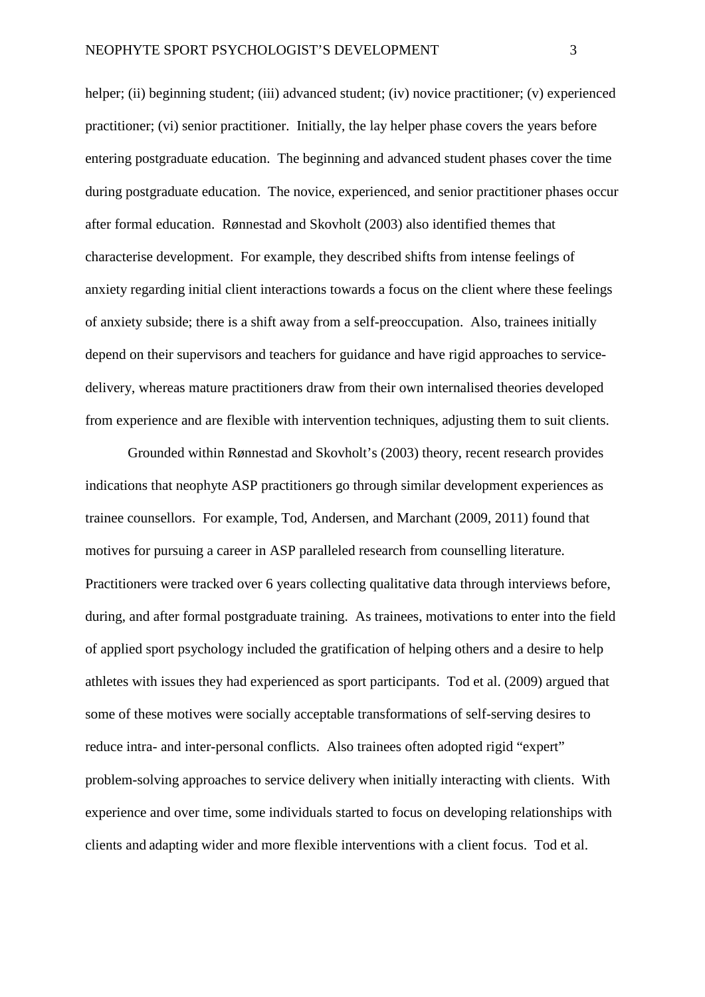helper; (ii) beginning student; (iii) advanced student; (iv) novice practitioner; (v) experienced practitioner; (vi) senior practitioner. Initially, the lay helper phase covers the years before entering postgraduate education. The beginning and advanced student phases cover the time during postgraduate education. The novice, experienced, and senior practitioner phases occur after formal education. Rønnestad and Skovholt (2003) also identified themes that characterise development. For example, they described shifts from intense feelings of anxiety regarding initial client interactions towards a focus on the client where these feelings of anxiety subside; there is a shift away from a self-preoccupation. Also, trainees initially depend on their supervisors and teachers for guidance and have rigid approaches to servicedelivery, whereas mature practitioners draw from their own internalised theories developed from experience and are flexible with intervention techniques, adjusting them to suit clients.

Grounded within Rønnestad and Skovholt's (2003) theory, recent research provides indications that neophyte ASP practitioners go through similar development experiences as trainee counsellors. For example, Tod, Andersen, and Marchant (2009, 2011) found that motives for pursuing a career in ASP paralleled research from counselling literature. Practitioners were tracked over 6 years collecting qualitative data through interviews before, during, and after formal postgraduate training. As trainees, motivations to enter into the field of applied sport psychology included the gratification of helping others and a desire to help athletes with issues they had experienced as sport participants. Tod et al. (2009) argued that some of these motives were socially acceptable transformations of self-serving desires to reduce intra- and inter-personal conflicts. Also trainees often adopted rigid "expert" problem-solving approaches to service delivery when initially interacting with clients. With experience and over time, some individuals started to focus on developing relationships with clients and adapting wider and more flexible interventions with a client focus. Tod et al.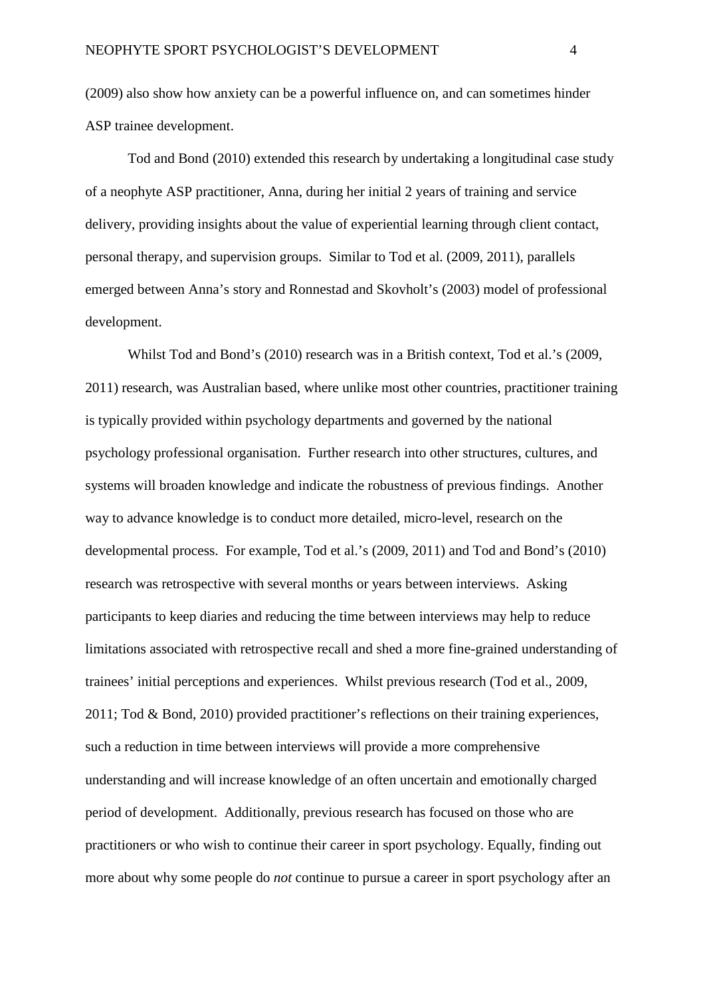(2009) also show how anxiety can be a powerful influence on, and can sometimes hinder ASP trainee development.

Tod and Bond (2010) extended this research by undertaking a longitudinal case study of a neophyte ASP practitioner, Anna, during her initial 2 years of training and service delivery, providing insights about the value of experiential learning through client contact, personal therapy, and supervision groups. Similar to Tod et al. (2009, 2011), parallels emerged between Anna's story and Ronnestad and Skovholt's (2003) model of professional development.

Whilst Tod and Bond's (2010) research was in a British context, Tod et al.'s (2009, 2011) research, was Australian based, where unlike most other countries, practitioner training is typically provided within psychology departments and governed by the national psychology professional organisation. Further research into other structures, cultures, and systems will broaden knowledge and indicate the robustness of previous findings. Another way to advance knowledge is to conduct more detailed, micro-level, research on the developmental process. For example, Tod et al.'s (2009, 2011) and Tod and Bond's (2010) research was retrospective with several months or years between interviews. Asking participants to keep diaries and reducing the time between interviews may help to reduce limitations associated with retrospective recall and shed a more fine-grained understanding of trainees' initial perceptions and experiences. Whilst previous research (Tod et al., 2009, 2011; Tod & Bond, 2010) provided practitioner's reflections on their training experiences, such a reduction in time between interviews will provide a more comprehensive understanding and will increase knowledge of an often uncertain and emotionally charged period of development. Additionally, previous research has focused on those who are practitioners or who wish to continue their career in sport psychology. Equally, finding out more about why some people do *not* continue to pursue a career in sport psychology after an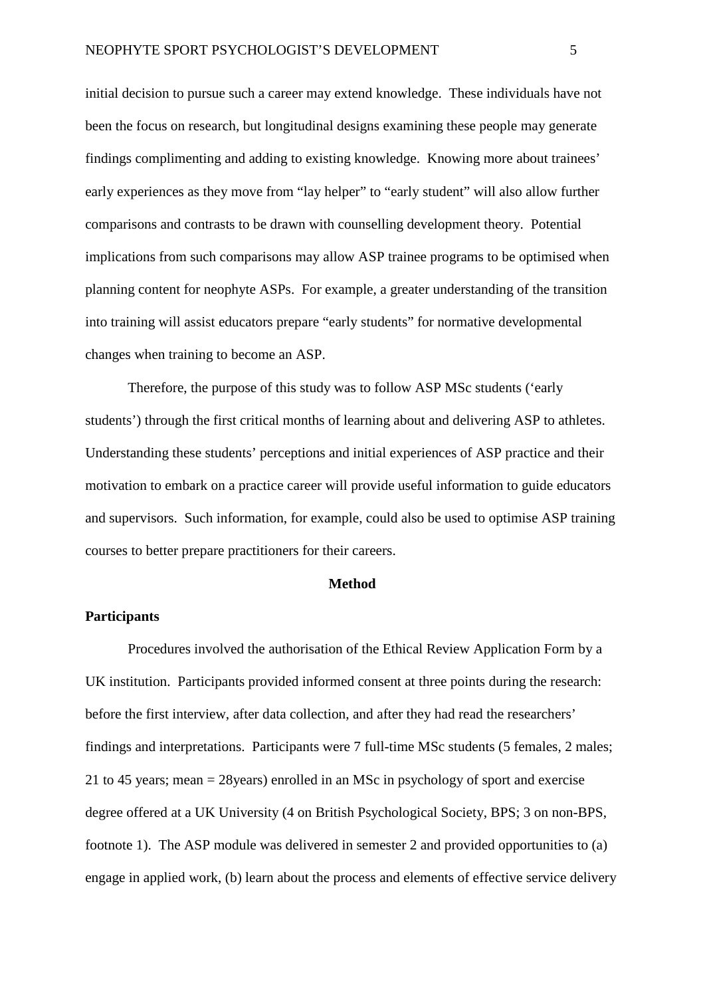initial decision to pursue such a career may extend knowledge. These individuals have not been the focus on research, but longitudinal designs examining these people may generate findings complimenting and adding to existing knowledge. Knowing more about trainees' early experiences as they move from "lay helper" to "early student" will also allow further comparisons and contrasts to be drawn with counselling development theory. Potential implications from such comparisons may allow ASP trainee programs to be optimised when planning content for neophyte ASPs. For example, a greater understanding of the transition into training will assist educators prepare "early students" for normative developmental changes when training to become an ASP.

Therefore, the purpose of this study was to follow ASP MSc students ('early students') through the first critical months of learning about and delivering ASP to athletes. Understanding these students' perceptions and initial experiences of ASP practice and their motivation to embark on a practice career will provide useful information to guide educators and supervisors. Such information, for example, could also be used to optimise ASP training courses to better prepare practitioners for their careers.

### **Method**

# **Participants**

Procedures involved the authorisation of the Ethical Review Application Form by a UK institution. Participants provided informed consent at three points during the research: before the first interview, after data collection, and after they had read the researchers' findings and interpretations. Participants were 7 full-time MSc students (5 females, 2 males; 21 to 45 years; mean = 28years) enrolled in an MSc in psychology of sport and exercise degree offered at a UK University (4 on British Psychological Society, BPS; 3 on non-BPS, footnote 1). The ASP module was delivered in semester 2 and provided opportunities to (a) engage in applied work, (b) learn about the process and elements of effective service delivery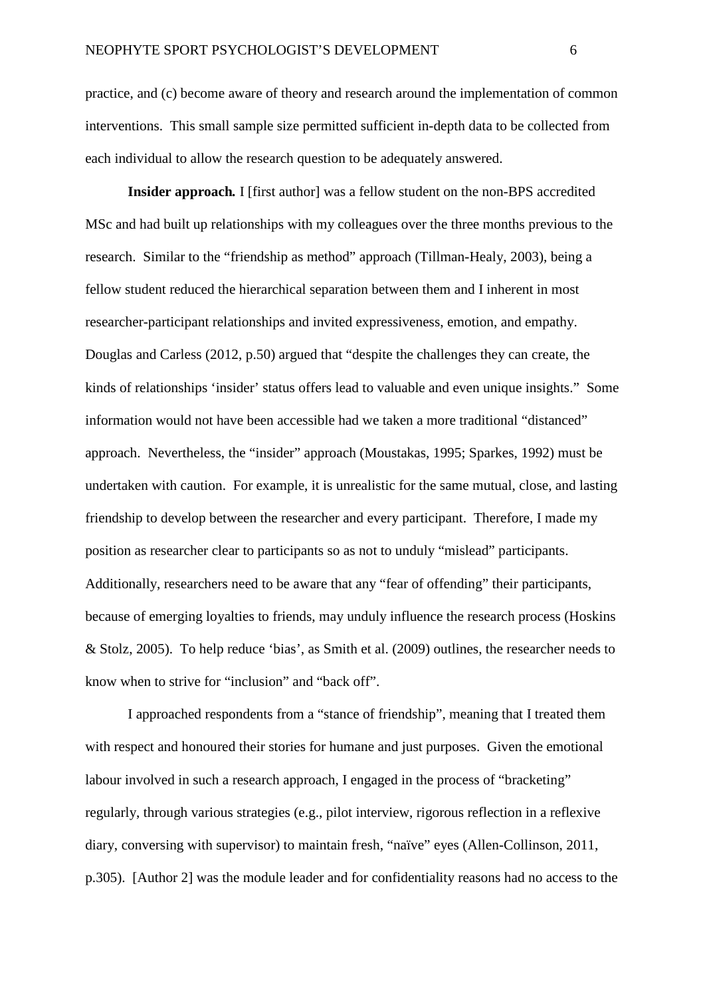practice, and (c) become aware of theory and research around the implementation of common interventions. This small sample size permitted sufficient in-depth data to be collected from each individual to allow the research question to be adequately answered.

**Insider approach.** I [first author] was a fellow student on the non-BPS accredited MSc and had built up relationships with my colleagues over the three months previous to the research. Similar to the "friendship as method" approach (Tillman-Healy, 2003), being a fellow student reduced the hierarchical separation between them and I inherent in most researcher-participant relationships and invited expressiveness, emotion, and empathy. Douglas and Carless (2012, p.50) argued that "despite the challenges they can create, the kinds of relationships 'insider' status offers lead to valuable and even unique insights." Some information would not have been accessible had we taken a more traditional "distanced" approach. Nevertheless, the "insider" approach (Moustakas, 1995; Sparkes, 1992) must be undertaken with caution. For example, it is unrealistic for the same mutual, close, and lasting friendship to develop between the researcher and every participant. Therefore, I made my position as researcher clear to participants so as not to unduly "mislead" participants. Additionally, researchers need to be aware that any "fear of offending" their participants, because of emerging loyalties to friends, may unduly influence the research process (Hoskins & Stolz, 2005). To help reduce 'bias', as Smith et al. (2009) outlines, the researcher needs to know when to strive for "inclusion" and "back off".

I approached respondents from a "stance of friendship", meaning that I treated them with respect and honoured their stories for humane and just purposes. Given the emotional labour involved in such a research approach, I engaged in the process of "bracketing" regularly, through various strategies (e.g., pilot interview, rigorous reflection in a reflexive diary, conversing with supervisor) to maintain fresh, "naïve" eyes (Allen-Collinson, 2011, p.305). [Author 2] was the module leader and for confidentiality reasons had no access to the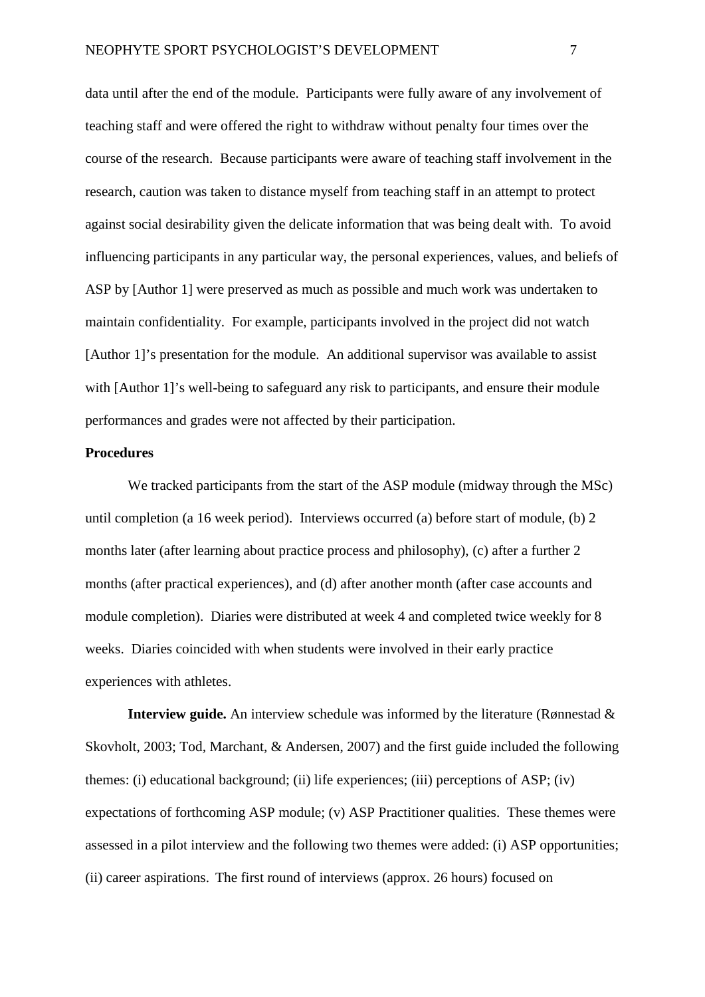data until after the end of the module. Participants were fully aware of any involvement of teaching staff and were offered the right to withdraw without penalty four times over the course of the research. Because participants were aware of teaching staff involvement in the research, caution was taken to distance myself from teaching staff in an attempt to protect against social desirability given the delicate information that was being dealt with. To avoid influencing participants in any particular way, the personal experiences, values, and beliefs of ASP by [Author 1] were preserved as much as possible and much work was undertaken to maintain confidentiality. For example, participants involved in the project did not watch [Author 1]'s presentation for the module. An additional supervisor was available to assist with [Author 1]'s well-being to safeguard any risk to participants, and ensure their module performances and grades were not affected by their participation.

## **Procedures**

We tracked participants from the start of the ASP module (midway through the MSc) until completion (a 16 week period). Interviews occurred (a) before start of module, (b) 2 months later (after learning about practice process and philosophy), (c) after a further 2 months (after practical experiences), and (d) after another month (after case accounts and module completion). Diaries were distributed at week 4 and completed twice weekly for 8 weeks. Diaries coincided with when students were involved in their early practice experiences with athletes.

**Interview guide.** An interview schedule was informed by the literature (Rønnestad & Skovholt, 2003; Tod*,* Marchant, & Andersen, 2007) and the first guide included the following themes: (i) educational background; (ii) life experiences; (iii) perceptions of ASP; (iv) expectations of forthcoming ASP module; (v) ASP Practitioner qualities. These themes were assessed in a pilot interview and the following two themes were added: (i) ASP opportunities; (ii) career aspirations. The first round of interviews (approx. 26 hours) focused on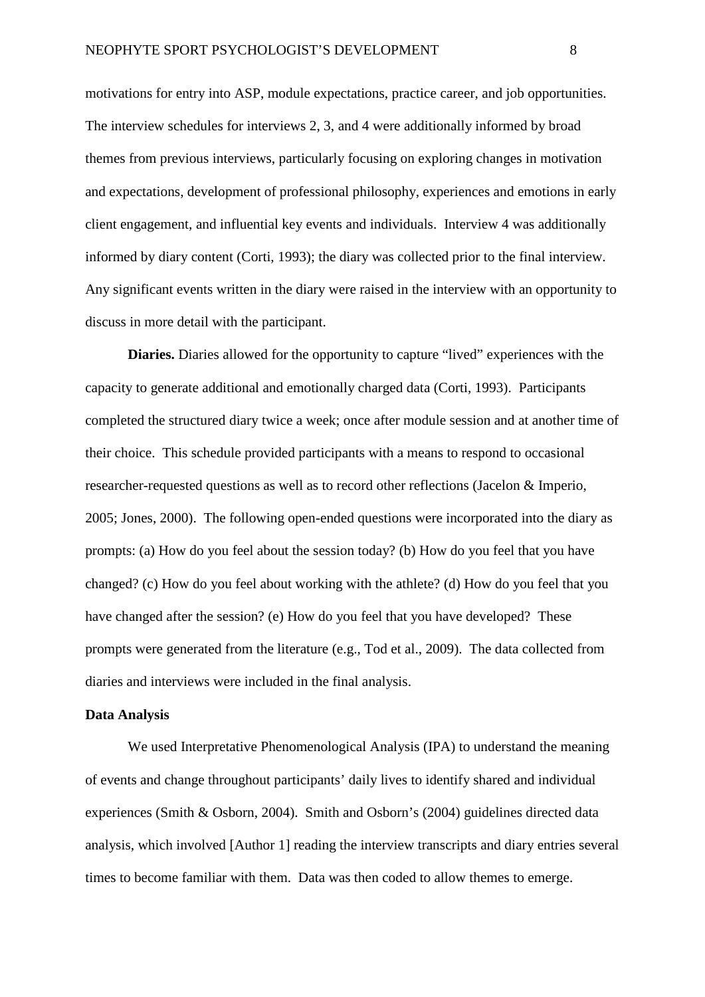motivations for entry into ASP, module expectations, practice career, and job opportunities. The interview schedules for interviews 2, 3, and 4 were additionally informed by broad themes from previous interviews, particularly focusing on exploring changes in motivation and expectations, development of professional philosophy, experiences and emotions in early client engagement, and influential key events and individuals. Interview 4 was additionally informed by diary content (Corti, 1993); the diary was collected prior to the final interview. Any significant events written in the diary were raised in the interview with an opportunity to discuss in more detail with the participant.

**Diaries.** Diaries allowed for the opportunity to capture "lived" experiences with the capacity to generate additional and emotionally charged data (Corti, 1993). Participants completed the structured diary twice a week; once after module session and at another time of their choice. This schedule provided participants with a means to respond to occasional researcher-requested questions as well as to record other reflections (Jacelon & Imperio, 2005; Jones, 2000). The following open-ended questions were incorporated into the diary as prompts: (a) How do you feel about the session today? (b) How do you feel that you have changed? (c) How do you feel about working with the athlete? (d) How do you feel that you have changed after the session? (e) How do you feel that you have developed? These prompts were generated from the literature (e.g., Tod et al., 2009). The data collected from diaries and interviews were included in the final analysis.

#### **Data Analysis**

We used Interpretative Phenomenological Analysis (IPA) to understand the meaning of events and change throughout participants' daily lives to identify shared and individual experiences (Smith & Osborn, 2004). Smith and Osborn's (2004) guidelines directed data analysis, which involved [Author 1] reading the interview transcripts and diary entries several times to become familiar with them. Data was then coded to allow themes to emerge.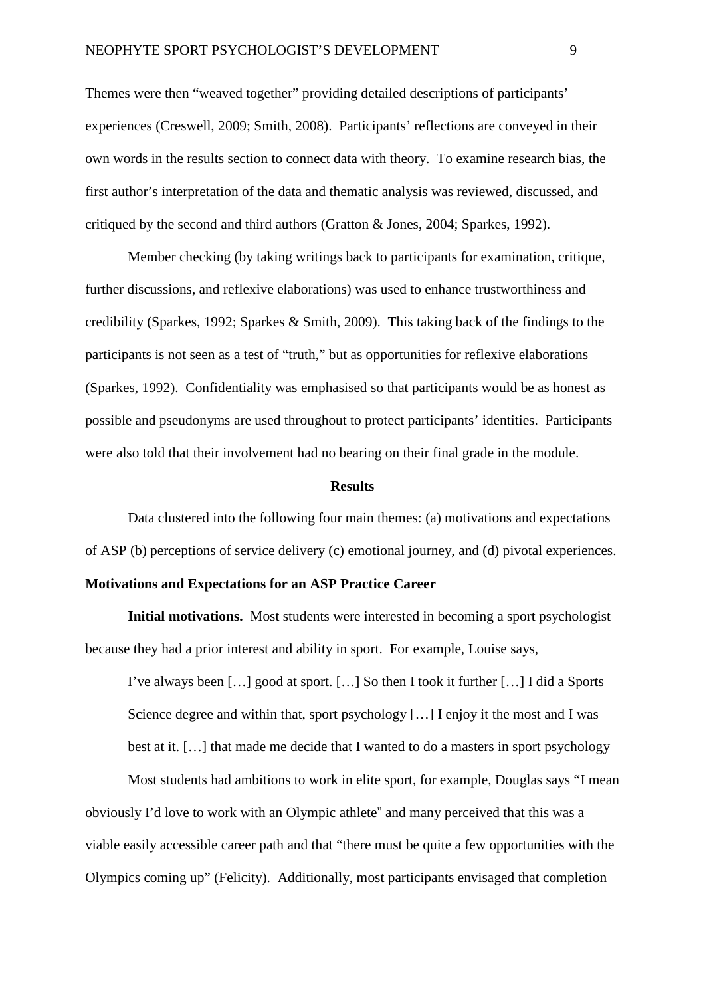Themes were then "weaved together" providing detailed descriptions of participants' experiences (Creswell, 2009; Smith, 2008). Participants' reflections are conveyed in their own words in the results section to connect data with theory. To examine research bias, the first author's interpretation of the data and thematic analysis was reviewed, discussed, and critiqued by the second and third authors (Gratton & Jones, 2004; Sparkes, 1992).

Member checking (by taking writings back to participants for examination, critique, further discussions, and reflexive elaborations) was used to enhance trustworthiness and credibility (Sparkes, 1992; Sparkes & Smith, 2009). This taking back of the findings to the participants is not seen as a test of "truth," but as opportunities for reflexive elaborations (Sparkes, 1992). Confidentiality was emphasised so that participants would be as honest as possible and pseudonyms are used throughout to protect participants' identities. Participants were also told that their involvement had no bearing on their final grade in the module.

### **Results**

Data clustered into the following four main themes: (a) motivations and expectations of ASP (b) perceptions of service delivery (c) emotional journey, and (d) pivotal experiences.

# **Motivations and Expectations for an ASP Practice Career**

**Initial motivations.** Most students were interested in becoming a sport psychologist because they had a prior interest and ability in sport. For example, Louise says,

I've always been […] good at sport. […] So then I took it further […] I did a Sports Science degree and within that, sport psychology  $[\,\ldots]$  I enjoy it the most and I was best at it. […] that made me decide that I wanted to do a masters in sport psychology

Most students had ambitions to work in elite sport, for example, Douglas says "I mean obviously I'd love to work with an Olympic athlete" and many perceived that this was a viable easily accessible career path and that "there must be quite a few opportunities with the Olympics coming up" (Felicity). Additionally, most participants envisaged that completion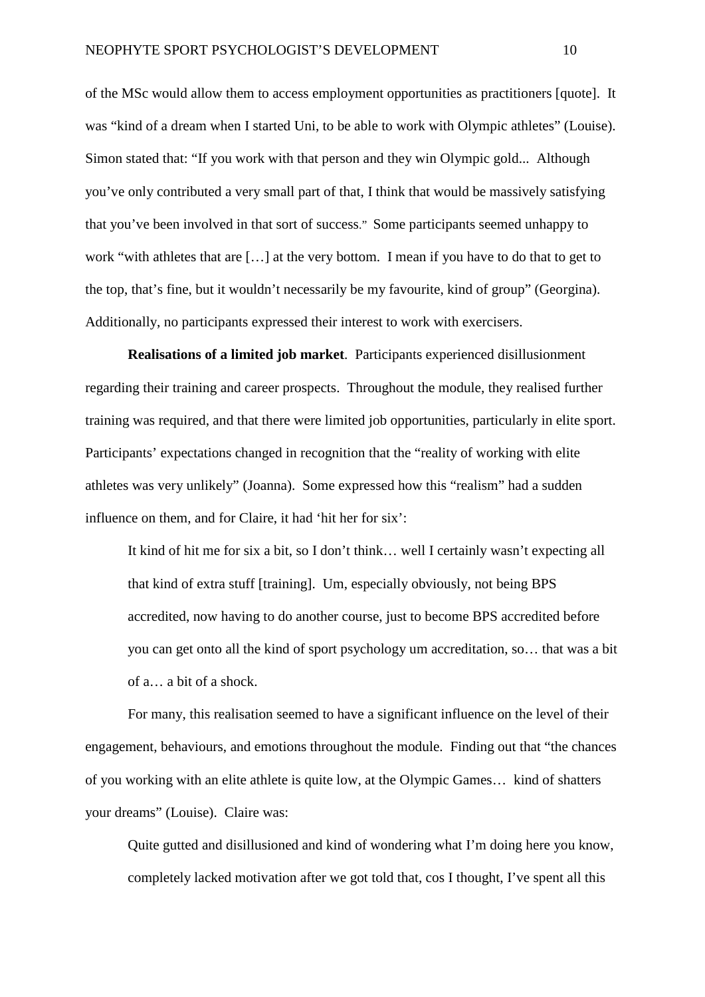of the MSc would allow them to access employment opportunities as practitioners [quote]. It was "kind of a dream when I started Uni, to be able to work with Olympic athletes" (Louise). Simon stated that: "If you work with that person and they win Olympic gold... Although you've only contributed a very small part of that, I think that would be massively satisfying that you've been involved in that sort of success." Some participants seemed unhappy to work "with athletes that are […] at the very bottom. I mean if you have to do that to get to the top, that's fine, but it wouldn't necessarily be my favourite, kind of group" (Georgina). Additionally, no participants expressed their interest to work with exercisers.

**Realisations of a limited job market**. Participants experienced disillusionment regarding their training and career prospects. Throughout the module, they realised further training was required, and that there were limited job opportunities, particularly in elite sport. Participants' expectations changed in recognition that the "reality of working with elite athletes was very unlikely" (Joanna). Some expressed how this "realism" had a sudden influence on them, and for Claire, it had 'hit her for six':

It kind of hit me for six a bit, so I don't think… well I certainly wasn't expecting all that kind of extra stuff [training]. Um, especially obviously, not being BPS accredited, now having to do another course, just to become BPS accredited before you can get onto all the kind of sport psychology um accreditation, so… that was a bit of a… a bit of a shock.

For many, this realisation seemed to have a significant influence on the level of their engagement, behaviours, and emotions throughout the module. Finding out that "the chances of you working with an elite athlete is quite low, at the Olympic Games… kind of shatters your dreams" (Louise). Claire was:

Quite gutted and disillusioned and kind of wondering what I'm doing here you know, completely lacked motivation after we got told that, cos I thought, I've spent all this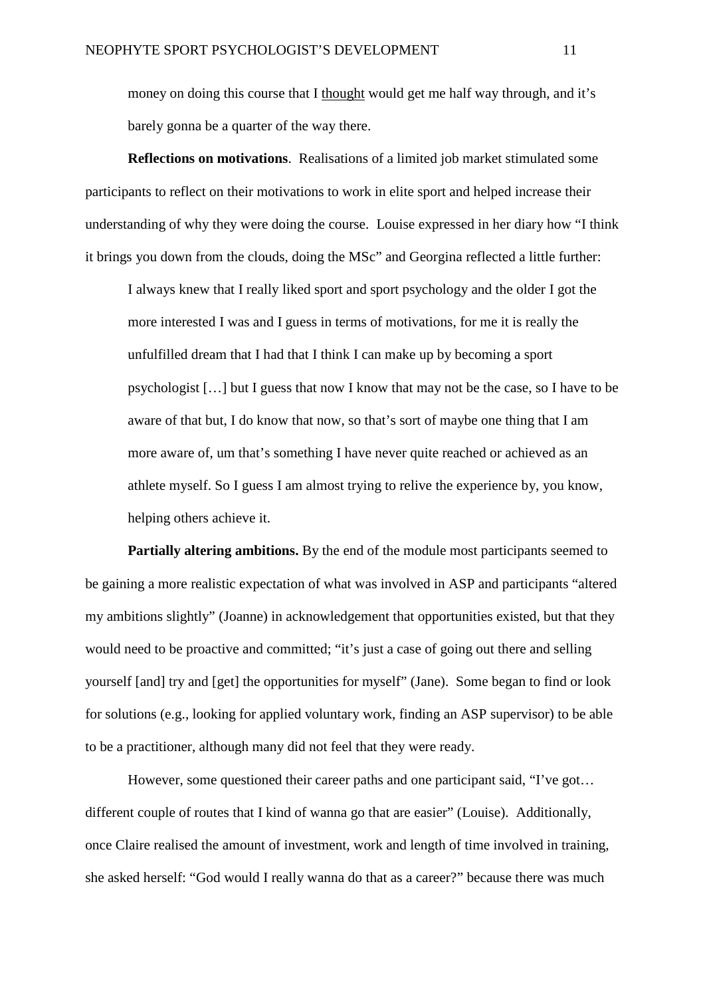money on doing this course that I thought would get me half way through, and it's barely gonna be a quarter of the way there.

**Reflections on motivations**. Realisations of a limited job market stimulated some participants to reflect on their motivations to work in elite sport and helped increase their understanding of why they were doing the course. Louise expressed in her diary how "I think it brings you down from the clouds, doing the MSc" and Georgina reflected a little further:

I always knew that I really liked sport and sport psychology and the older I got the more interested I was and I guess in terms of motivations, for me it is really the unfulfilled dream that I had that I think I can make up by becoming a sport psychologist […] but I guess that now I know that may not be the case, so I have to be aware of that but, I do know that now, so that's sort of maybe one thing that I am more aware of, um that's something I have never quite reached or achieved as an athlete myself. So I guess I am almost trying to relive the experience by, you know, helping others achieve it.

**Partially altering ambitions.** By the end of the module most participants seemed to be gaining a more realistic expectation of what was involved in ASP and participants "altered my ambitions slightly" (Joanne) in acknowledgement that opportunities existed, but that they would need to be proactive and committed; "it's just a case of going out there and selling yourself [and] try and [get] the opportunities for myself" (Jane). Some began to find or look for solutions (e.g., looking for applied voluntary work, finding an ASP supervisor) to be able to be a practitioner, although many did not feel that they were ready.

However, some questioned their career paths and one participant said, "I've got… different couple of routes that I kind of wanna go that are easier" (Louise). Additionally, once Claire realised the amount of investment, work and length of time involved in training, she asked herself: "God would I really wanna do that as a career?" because there was much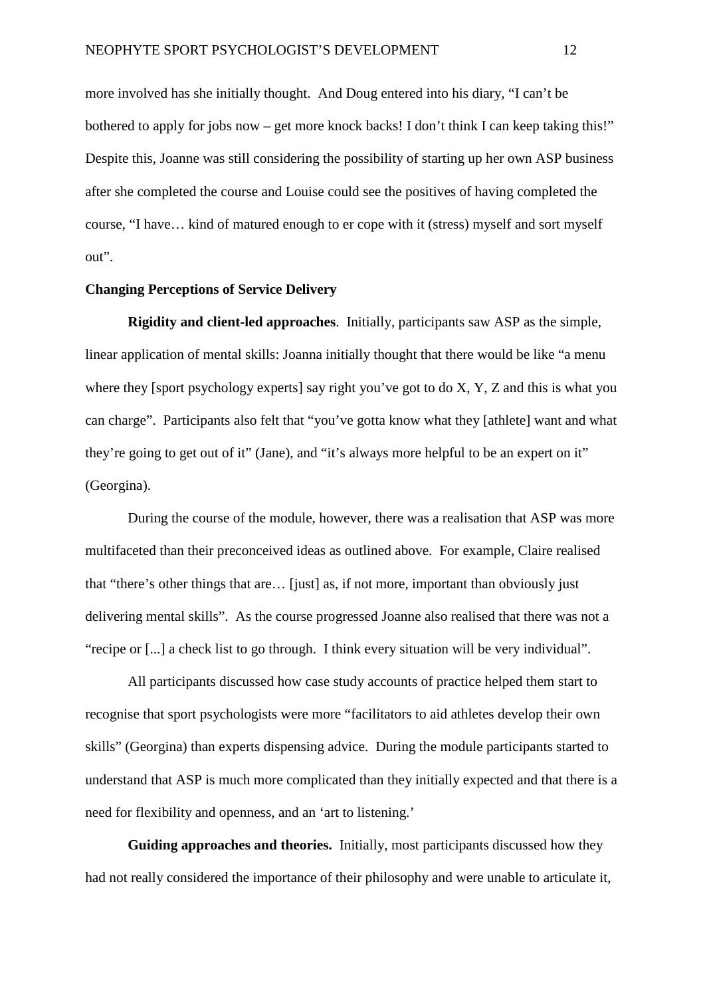more involved has she initially thought. And Doug entered into his diary, "I can't be bothered to apply for jobs now – get more knock backs! I don't think I can keep taking this!" Despite this, Joanne was still considering the possibility of starting up her own ASP business after she completed the course and Louise could see the positives of having completed the course, "I have… kind of matured enough to er cope with it (stress) myself and sort myself out".

### **Changing Perceptions of Service Delivery**

**Rigidity and client-led approaches**. Initially, participants saw ASP as the simple, linear application of mental skills: Joanna initially thought that there would be like "a menu where they [sport psychology experts] say right you've got to do X, Y, Z and this is what you can charge". Participants also felt that "you've gotta know what they [athlete] want and what they're going to get out of it" (Jane), and "it's always more helpful to be an expert on it" (Georgina).

During the course of the module, however, there was a realisation that ASP was more multifaceted than their preconceived ideas as outlined above. For example, Claire realised that "there's other things that are… [just] as, if not more, important than obviously just delivering mental skills". As the course progressed Joanne also realised that there was not a "recipe or [...] a check list to go through. I think every situation will be very individual".

All participants discussed how case study accounts of practice helped them start to recognise that sport psychologists were more "facilitators to aid athletes develop their own skills" (Georgina) than experts dispensing advice. During the module participants started to understand that ASP is much more complicated than they initially expected and that there is a need for flexibility and openness, and an 'art to listening.'

**Guiding approaches and theories.** Initially, most participants discussed how they had not really considered the importance of their philosophy and were unable to articulate it,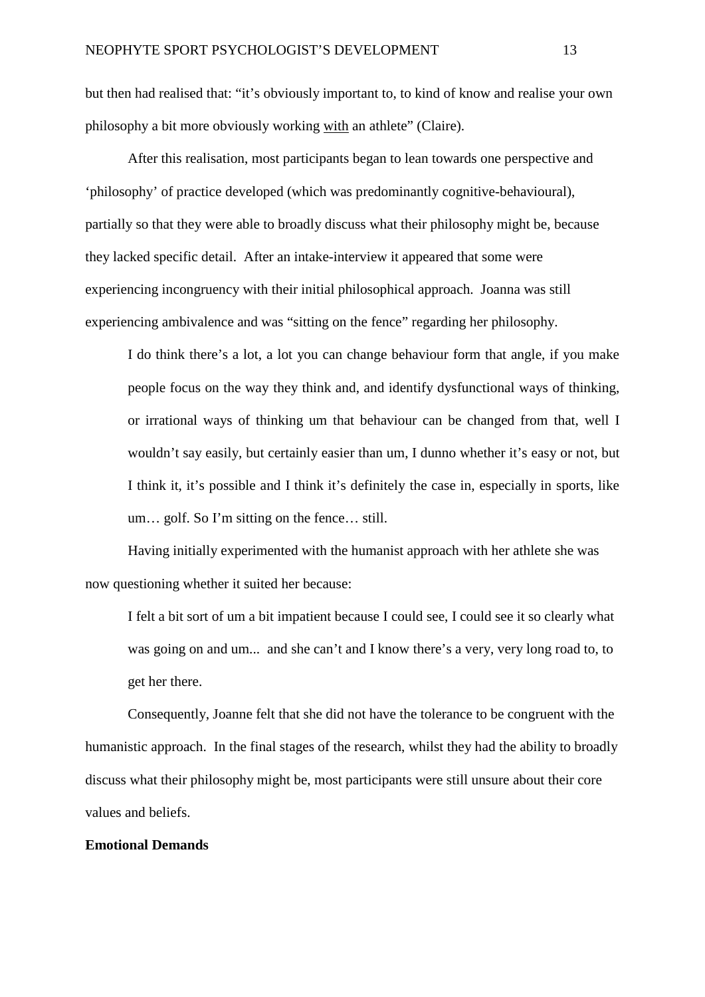but then had realised that: "it's obviously important to, to kind of know and realise your own philosophy a bit more obviously working with an athlete" (Claire).

After this realisation, most participants began to lean towards one perspective and 'philosophy' of practice developed (which was predominantly cognitive-behavioural), partially so that they were able to broadly discuss what their philosophy might be, because they lacked specific detail. After an intake-interview it appeared that some were experiencing incongruency with their initial philosophical approach. Joanna was still experiencing ambivalence and was "sitting on the fence" regarding her philosophy.

I do think there's a lot, a lot you can change behaviour form that angle, if you make people focus on the way they think and, and identify dysfunctional ways of thinking, or irrational ways of thinking um that behaviour can be changed from that, well I wouldn't say easily, but certainly easier than um, I dunno whether it's easy or not, but I think it, it's possible and I think it's definitely the case in, especially in sports, like um… golf. So I'm sitting on the fence… still.

Having initially experimented with the humanist approach with her athlete she was now questioning whether it suited her because:

I felt a bit sort of um a bit impatient because I could see, I could see it so clearly what was going on and um... and she can't and I know there's a very, very long road to, to get her there.

Consequently, Joanne felt that she did not have the tolerance to be congruent with the humanistic approach. In the final stages of the research, whilst they had the ability to broadly discuss what their philosophy might be, most participants were still unsure about their core values and beliefs.

### **Emotional Demands**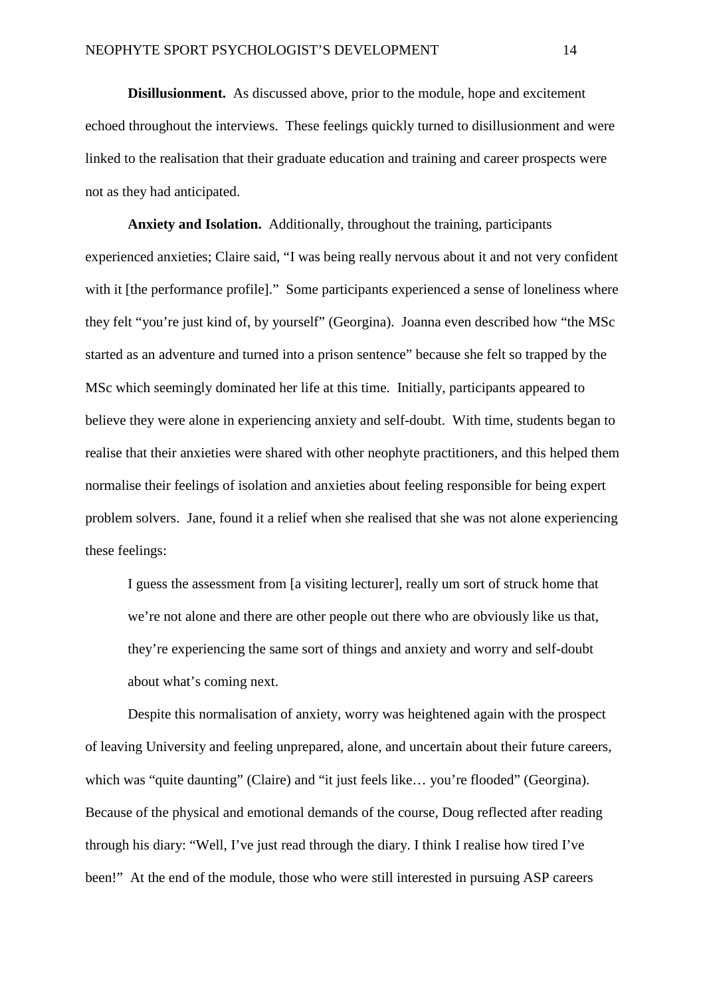**Disillusionment.** As discussed above, prior to the module, hope and excitement echoed throughout the interviews. These feelings quickly turned to disillusionment and were linked to the realisation that their graduate education and training and career prospects were not as they had anticipated.

**Anxiety and Isolation.** Additionally, throughout the training, participants experienced anxieties; Claire said, "I was being really nervous about it and not very confident with it [the performance profile]." Some participants experienced a sense of loneliness where they felt "you're just kind of, by yourself" (Georgina). Joanna even described how "the MSc started as an adventure and turned into a prison sentence" because she felt so trapped by the MSc which seemingly dominated her life at this time. Initially, participants appeared to believe they were alone in experiencing anxiety and self-doubt. With time, students began to realise that their anxieties were shared with other neophyte practitioners, and this helped them normalise their feelings of isolation and anxieties about feeling responsible for being expert problem solvers. Jane, found it a relief when she realised that she was not alone experiencing these feelings:

I guess the assessment from [a visiting lecturer], really um sort of struck home that we're not alone and there are other people out there who are obviously like us that, they're experiencing the same sort of things and anxiety and worry and self-doubt about what's coming next.

Despite this normalisation of anxiety, worry was heightened again with the prospect of leaving University and feeling unprepared, alone, and uncertain about their future careers, which was "quite daunting" (Claire) and "it just feels like... you're flooded" (Georgina). Because of the physical and emotional demands of the course, Doug reflected after reading through his diary: "Well, I've just read through the diary. I think I realise how tired I've been!" At the end of the module, those who were still interested in pursuing ASP careers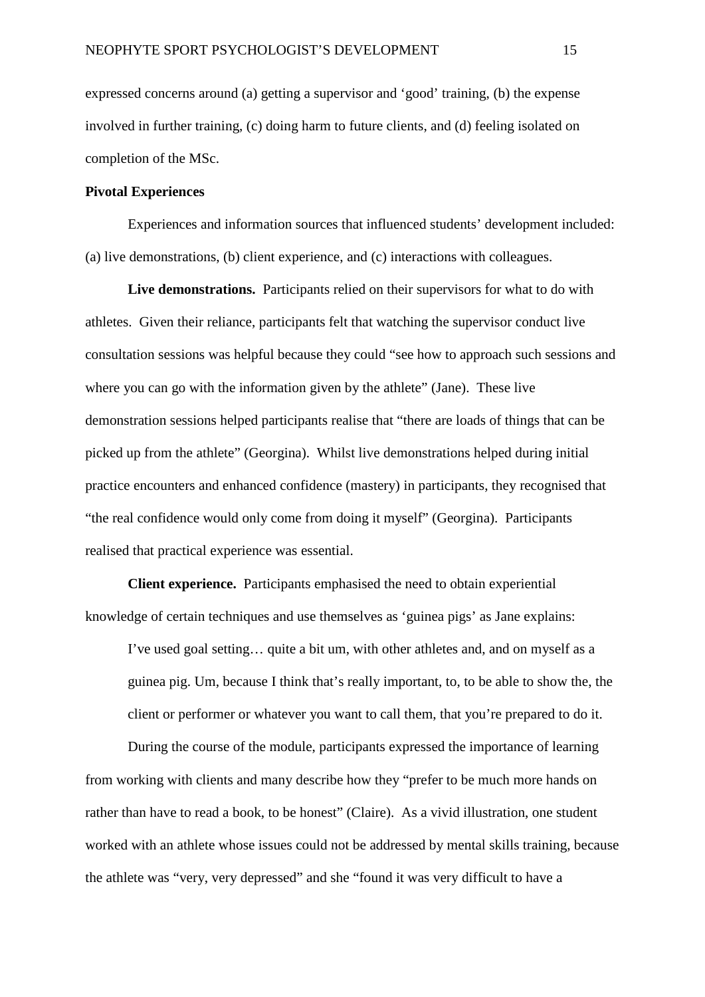expressed concerns around (a) getting a supervisor and 'good' training, (b) the expense involved in further training, (c) doing harm to future clients, and (d) feeling isolated on completion of the MSc.

# **Pivotal Experiences**

Experiences and information sources that influenced students' development included: (a) live demonstrations, (b) client experience, and (c) interactions with colleagues.

**Live demonstrations.** Participants relied on their supervisors for what to do with athletes. Given their reliance, participants felt that watching the supervisor conduct live consultation sessions was helpful because they could "see how to approach such sessions and where you can go with the information given by the athlete" (Jane). These live demonstration sessions helped participants realise that "there are loads of things that can be picked up from the athlete" (Georgina). Whilst live demonstrations helped during initial practice encounters and enhanced confidence (mastery) in participants, they recognised that "the real confidence would only come from doing it myself" (Georgina). Participants realised that practical experience was essential.

**Client experience.** Participants emphasised the need to obtain experiential knowledge of certain techniques and use themselves as 'guinea pigs' as Jane explains:

I've used goal setting… quite a bit um, with other athletes and, and on myself as a guinea pig. Um, because I think that's really important, to, to be able to show the, the client or performer or whatever you want to call them, that you're prepared to do it.

During the course of the module, participants expressed the importance of learning from working with clients and many describe how they "prefer to be much more hands on rather than have to read a book, to be honest" (Claire). As a vivid illustration, one student worked with an athlete whose issues could not be addressed by mental skills training, because the athlete was "very, very depressed" and she "found it was very difficult to have a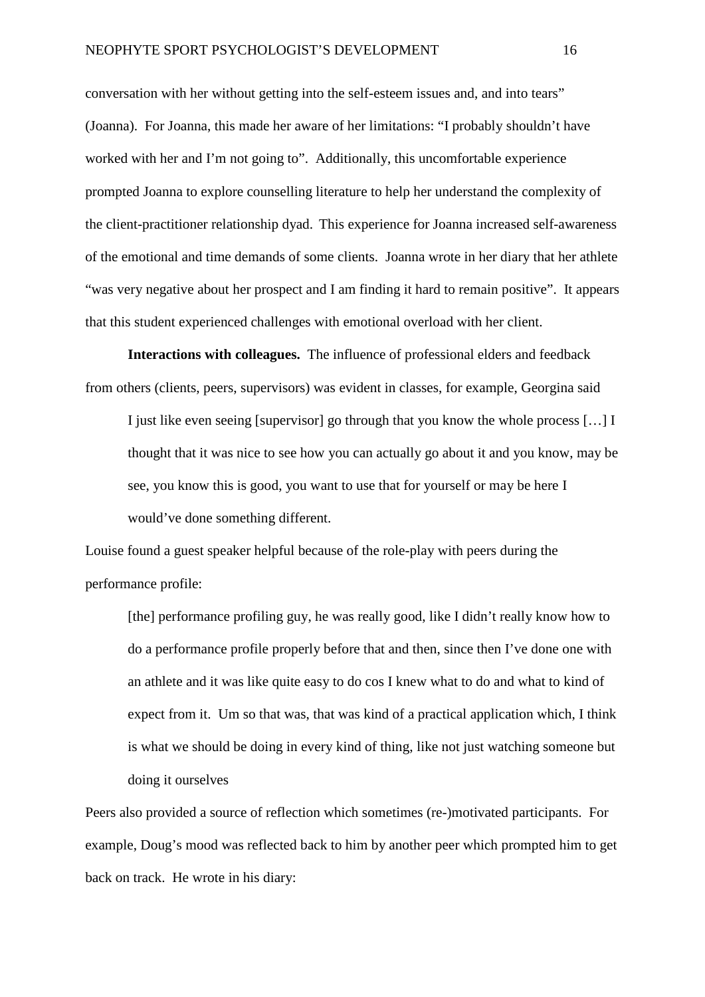conversation with her without getting into the self-esteem issues and, and into tears" (Joanna). For Joanna, this made her aware of her limitations: "I probably shouldn't have worked with her and I'm not going to". Additionally, this uncomfortable experience prompted Joanna to explore counselling literature to help her understand the complexity of the client-practitioner relationship dyad. This experience for Joanna increased self-awareness of the emotional and time demands of some clients. Joanna wrote in her diary that her athlete "was very negative about her prospect and I am finding it hard to remain positive". It appears that this student experienced challenges with emotional overload with her client.

**Interactions with colleagues.** The influence of professional elders and feedback from others (clients, peers, supervisors) was evident in classes, for example, Georgina said

I just like even seeing [supervisor] go through that you know the whole process […] I thought that it was nice to see how you can actually go about it and you know, may be see, you know this is good, you want to use that for yourself or may be here I would've done something different.

Louise found a guest speaker helpful because of the role-play with peers during the performance profile:

[the] performance profiling guy, he was really good, like I didn't really know how to do a performance profile properly before that and then, since then I've done one with an athlete and it was like quite easy to do cos I knew what to do and what to kind of expect from it. Um so that was, that was kind of a practical application which, I think is what we should be doing in every kind of thing, like not just watching someone but doing it ourselves

Peers also provided a source of reflection which sometimes (re-)motivated participants. For example, Doug's mood was reflected back to him by another peer which prompted him to get back on track. He wrote in his diary: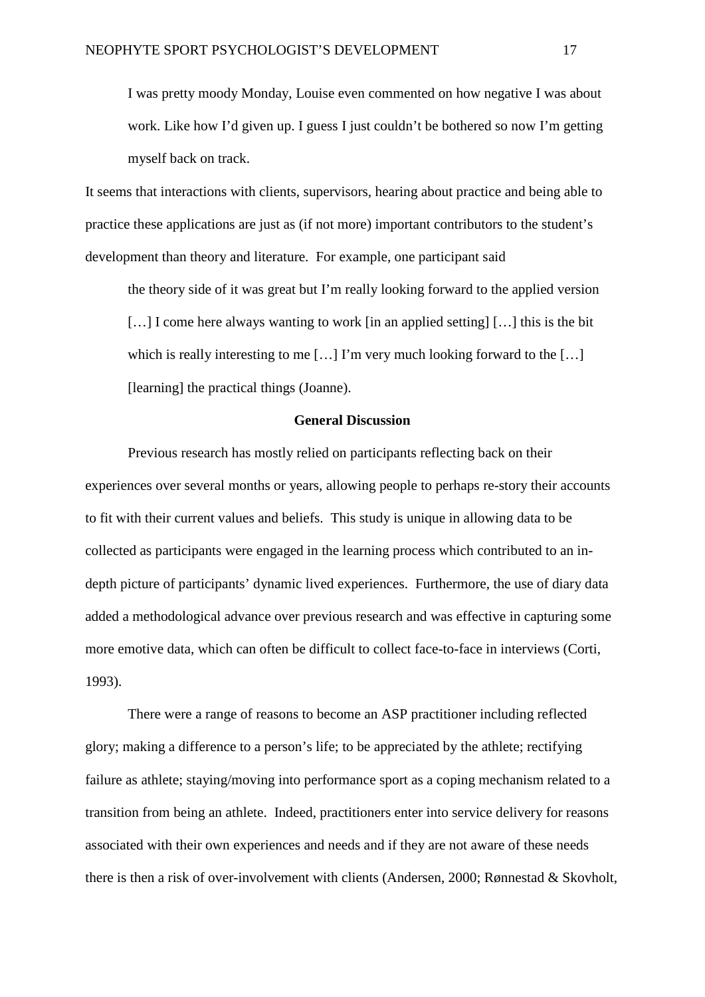I was pretty moody Monday, Louise even commented on how negative I was about work. Like how I'd given up. I guess I just couldn't be bothered so now I'm getting myself back on track.

It seems that interactions with clients, supervisors, hearing about practice and being able to practice these applications are just as (if not more) important contributors to the student's development than theory and literature. For example, one participant said

the theory side of it was great but I'm really looking forward to the applied version [...] I come here always wanting to work [in an applied setting] [...] this is the bit which is really interesting to me [...] I'm very much looking forward to the [...] [learning] the practical things (Joanne).

## **General Discussion**

Previous research has mostly relied on participants reflecting back on their experiences over several months or years, allowing people to perhaps re-story their accounts to fit with their current values and beliefs. This study is unique in allowing data to be collected as participants were engaged in the learning process which contributed to an indepth picture of participants' dynamic lived experiences. Furthermore, the use of diary data added a methodological advance over previous research and was effective in capturing some more emotive data, which can often be difficult to collect face-to-face in interviews (Corti, 1993).

There were a range of reasons to become an ASP practitioner including reflected glory; making a difference to a person's life; to be appreciated by the athlete; rectifying failure as athlete; staying/moving into performance sport as a coping mechanism related to a transition from being an athlete. Indeed, practitioners enter into service delivery for reasons associated with their own experiences and needs and if they are not aware of these needs there is then a risk of over-involvement with clients (Andersen, 2000; Rønnestad & Skovholt,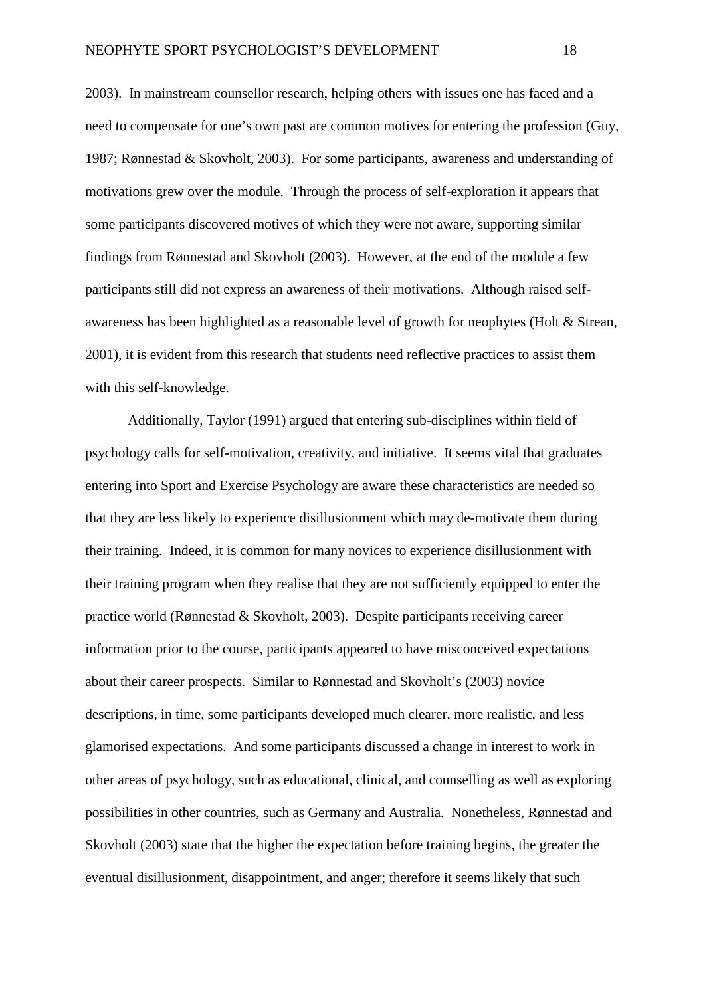2003). In mainstream counsellor research, helping others with issues one has faced and a need to compensate for one's own past are common motives for entering the profession (Guy, 1987; Rønnestad & Skovholt, 2003). For some participants, awareness and understanding of motivations grew over the module. Through the process of self-exploration it appears that some participants discovered motives of which they were not aware, supporting similar findings from Rønnestad and Skovholt (2003). However, at the end of the module a few participants still did not express an awareness of their motivations. Although raised selfawareness has been highlighted as a reasonable level of growth for neophytes (Holt & Strean, 2001), it is evident from this research that students need reflective practices to assist them with this self-knowledge.

Additionally, Taylor (1991) argued that entering sub-disciplines within field of psychology calls for self-motivation, creativity, and initiative. It seems vital that graduates entering into Sport and Exercise Psychology are aware these characteristics are needed so that they are less likely to experience disillusionment which may de-motivate them during their training. Indeed, it is common for many novices to experience disillusionment with their training program when they realise that they are not sufficiently equipped to enter the practice world (Rønnestad & Skovholt, 2003). Despite participants receiving career information prior to the course, participants appeared to have misconceived expectations about their career prospects. Similar to Rønnestad and Skovholt's (2003) novice descriptions, in time, some participants developed much clearer, more realistic, and less glamorised expectations. And some participants discussed a change in interest to work in other areas of psychology, such as educational, clinical, and counselling as well as exploring possibilities in other countries, such as Germany and Australia. Nonetheless, Rønnestad and Skovholt (2003) state that the higher the expectation before training begins, the greater the eventual disillusionment, disappointment, and anger; therefore it seems likely that such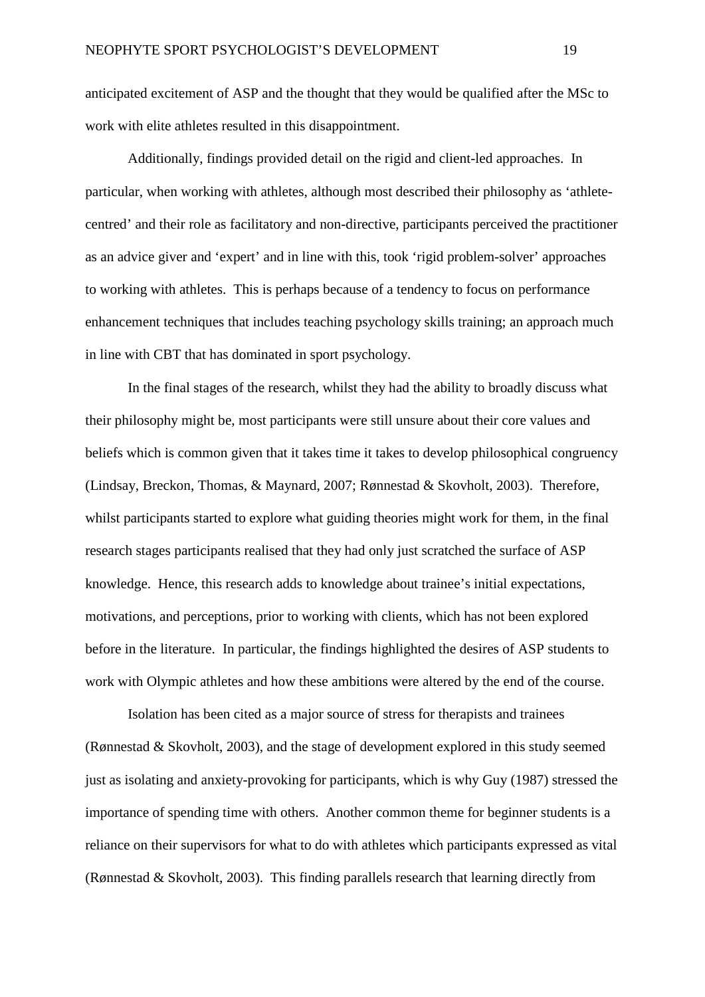anticipated excitement of ASP and the thought that they would be qualified after the MSc to

work with elite athletes resulted in this disappointment.

Additionally, findings provided detail on the rigid and client-led approaches. In particular, when working with athletes, although most described their philosophy as 'athletecentred' and their role as facilitatory and non-directive, participants perceived the practitioner as an advice giver and 'expert' and in line with this, took 'rigid problem-solver' approaches to working with athletes. This is perhaps because of a tendency to focus on performance enhancement techniques that includes teaching psychology skills training; an approach much in line with CBT that has dominated in sport psychology.

In the final stages of the research, whilst they had the ability to broadly discuss what their philosophy might be, most participants were still unsure about their core values and beliefs which is common given that it takes time it takes to develop philosophical congruency (Lindsay, Breckon, Thomas, & Maynard, 2007; Rønnestad & Skovholt, 2003). Therefore, whilst participants started to explore what guiding theories might work for them, in the final research stages participants realised that they had only just scratched the surface of ASP knowledge. Hence, this research adds to knowledge about trainee's initial expectations, motivations, and perceptions, prior to working with clients, which has not been explored before in the literature. In particular, the findings highlighted the desires of ASP students to work with Olympic athletes and how these ambitions were altered by the end of the course.

Isolation has been cited as a major source of stress for therapists and trainees (Rønnestad & Skovholt, 2003), and the stage of development explored in this study seemed just as isolating and anxiety-provoking for participants, which is why Guy (1987) stressed the importance of spending time with others. Another common theme for beginner students is a reliance on their supervisors for what to do with athletes which participants expressed as vital (Rønnestad & Skovholt, 2003). This finding parallels research that learning directly from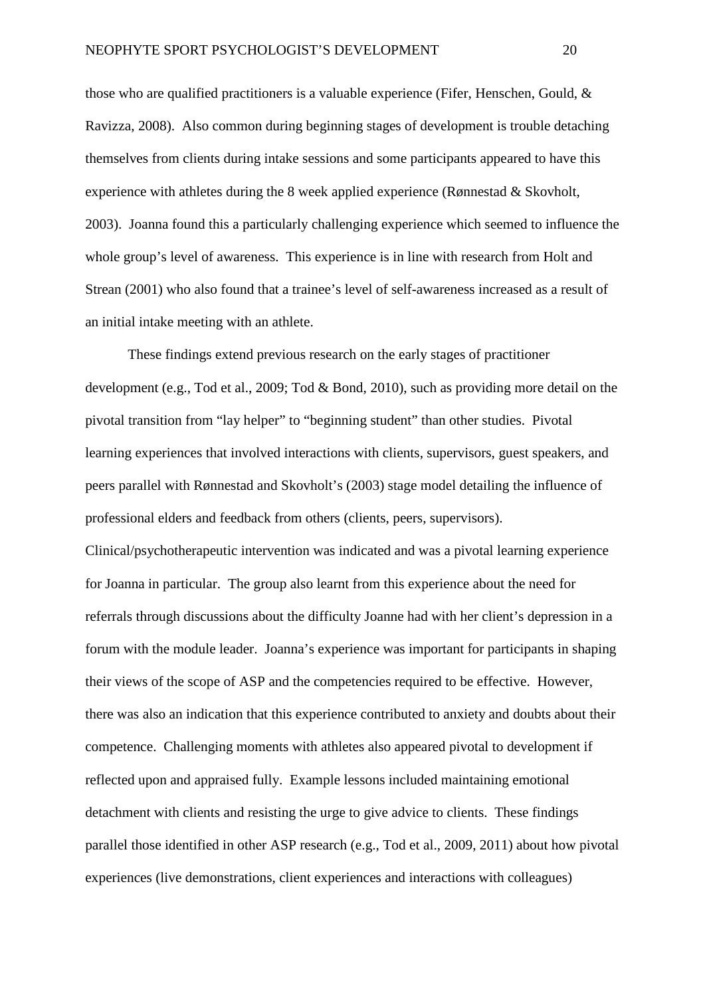those who are qualified practitioners is a valuable experience (Fifer, Henschen, Gould, & Ravizza, 2008). Also common during beginning stages of development is trouble detaching themselves from clients during intake sessions and some participants appeared to have this experience with athletes during the 8 week applied experience (Rønnestad & Skovholt, 2003). Joanna found this a particularly challenging experience which seemed to influence the whole group's level of awareness. This experience is in line with research from Holt and Strean (2001) who also found that a trainee's level of self-awareness increased as a result of an initial intake meeting with an athlete.

These findings extend previous research on the early stages of practitioner development (e.g., Tod et al., 2009; Tod & Bond, 2010), such as providing more detail on the pivotal transition from "lay helper" to "beginning student" than other studies. Pivotal learning experiences that involved interactions with clients, supervisors, guest speakers, and peers parallel with Rønnestad and Skovholt's (2003) stage model detailing the influence of professional elders and feedback from others (clients, peers, supervisors). Clinical/psychotherapeutic intervention was indicated and was a pivotal learning experience for Joanna in particular. The group also learnt from this experience about the need for referrals through discussions about the difficulty Joanne had with her client's depression in a forum with the module leader. Joanna's experience was important for participants in shaping their views of the scope of ASP and the competencies required to be effective. However, there was also an indication that this experience contributed to anxiety and doubts about their competence. Challenging moments with athletes also appeared pivotal to development if reflected upon and appraised fully. Example lessons included maintaining emotional detachment with clients and resisting the urge to give advice to clients. These findings parallel those identified in other ASP research (e.g., Tod et al., 2009, 2011) about how pivotal experiences (live demonstrations, client experiences and interactions with colleagues)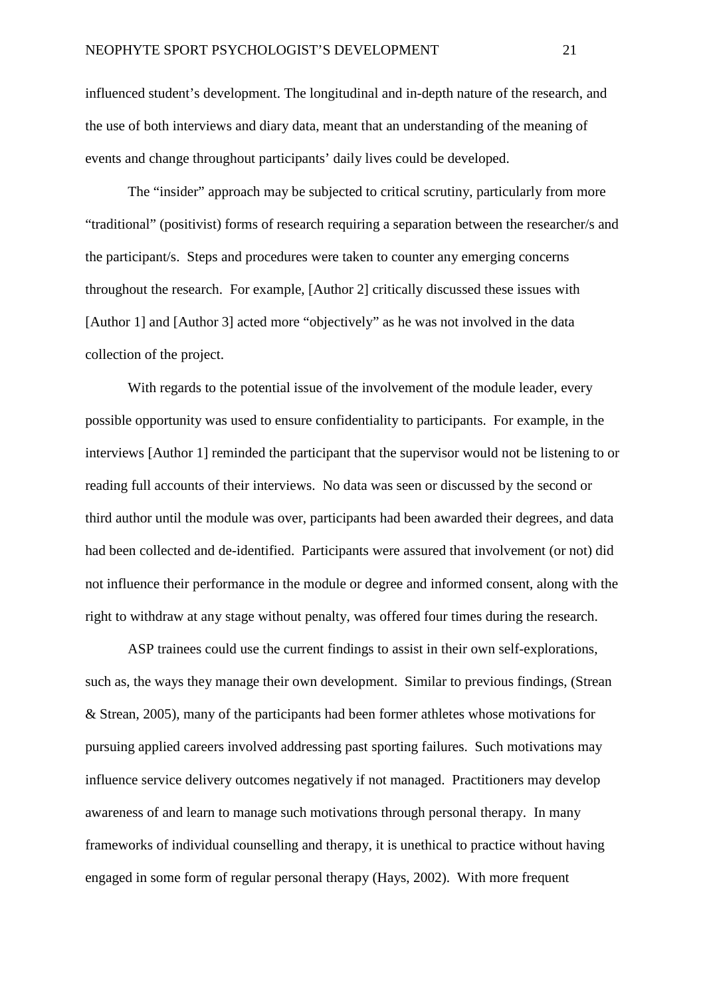influenced student's development. The longitudinal and in-depth nature of the research, and the use of both interviews and diary data, meant that an understanding of the meaning of events and change throughout participants' daily lives could be developed.

The "insider" approach may be subjected to critical scrutiny, particularly from more "traditional" (positivist) forms of research requiring a separation between the researcher/s and the participant/s. Steps and procedures were taken to counter any emerging concerns throughout the research. For example, [Author 2] critically discussed these issues with [Author 1] and [Author 3] acted more "objectively" as he was not involved in the data collection of the project.

With regards to the potential issue of the involvement of the module leader, every possible opportunity was used to ensure confidentiality to participants. For example, in the interviews [Author 1] reminded the participant that the supervisor would not be listening to or reading full accounts of their interviews. No data was seen or discussed by the second or third author until the module was over, participants had been awarded their degrees, and data had been collected and de-identified. Participants were assured that involvement (or not) did not influence their performance in the module or degree and informed consent, along with the right to withdraw at any stage without penalty, was offered four times during the research.

ASP trainees could use the current findings to assist in their own self-explorations, such as, the ways they manage their own development. Similar to previous findings, (Strean & Strean, 2005), many of the participants had been former athletes whose motivations for pursuing applied careers involved addressing past sporting failures. Such motivations may influence service delivery outcomes negatively if not managed. Practitioners may develop awareness of and learn to manage such motivations through personal therapy. In many frameworks of individual counselling and therapy, it is unethical to practice without having engaged in some form of regular personal therapy (Hays, 2002). With more frequent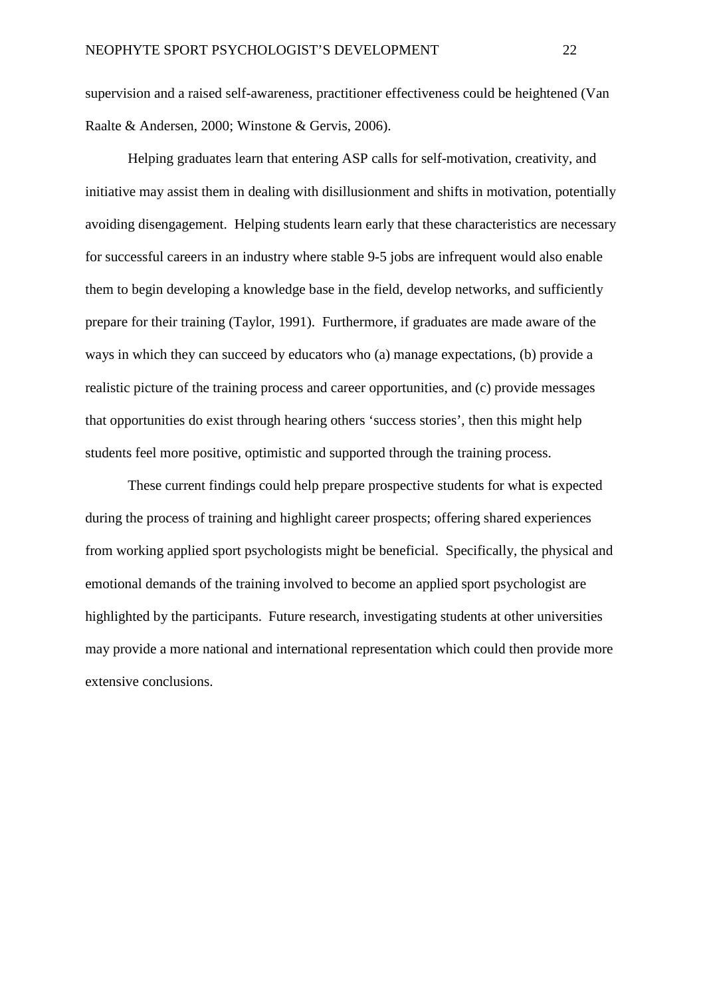supervision and a raised self-awareness, practitioner effectiveness could be heightened (Van Raalte & Andersen, 2000; Winstone & Gervis, 2006).

Helping graduates learn that entering ASP calls for self-motivation, creativity, and initiative may assist them in dealing with disillusionment and shifts in motivation, potentially avoiding disengagement. Helping students learn early that these characteristics are necessary for successful careers in an industry where stable 9-5 jobs are infrequent would also enable them to begin developing a knowledge base in the field, develop networks, and sufficiently prepare for their training (Taylor, 1991). Furthermore, if graduates are made aware of the ways in which they can succeed by educators who (a) manage expectations, (b) provide a realistic picture of the training process and career opportunities, and (c) provide messages that opportunities do exist through hearing others 'success stories', then this might help students feel more positive, optimistic and supported through the training process.

These current findings could help prepare prospective students for what is expected during the process of training and highlight career prospects; offering shared experiences from working applied sport psychologists might be beneficial. Specifically, the physical and emotional demands of the training involved to become an applied sport psychologist are highlighted by the participants. Future research, investigating students at other universities may provide a more national and international representation which could then provide more extensive conclusions.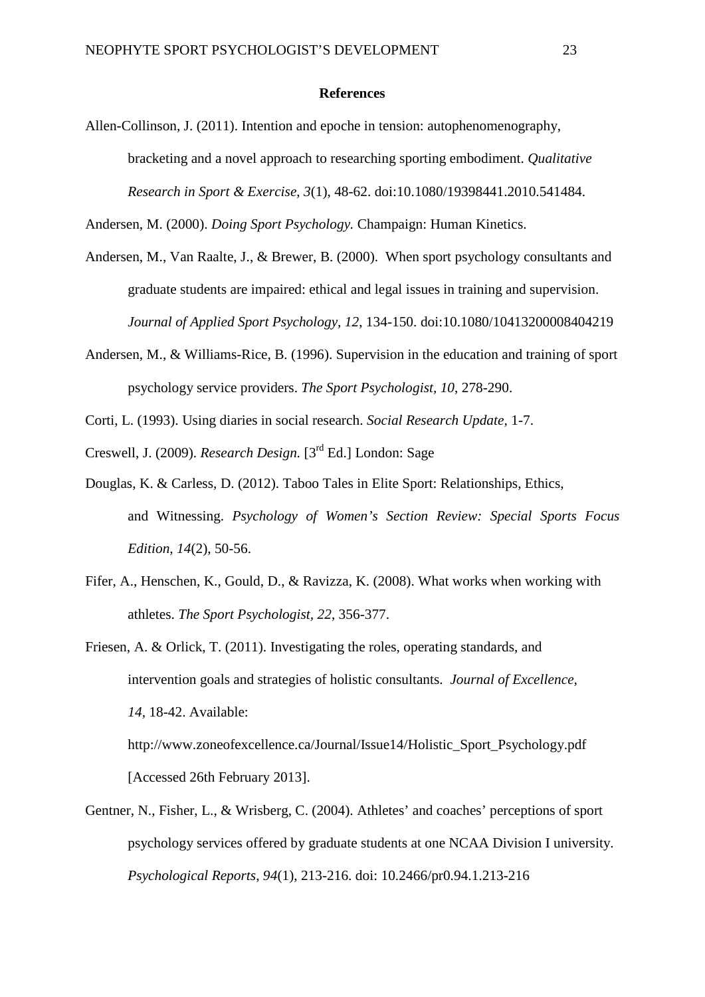#### **References**

Allen-Collinson, J. (2011). Intention and epoche in tension: autophenomenography, bracketing and a novel approach to researching sporting embodiment. *Qualitative Research in Sport & Exercise*, *3*(1), 48-62. doi:10.1080/19398441.2010.541484.

Andersen, M. (2000). *Doing Sport Psychology.* Champaign: Human Kinetics.

- Andersen, M., Van Raalte, J., & Brewer, B. (2000). When sport psychology consultants and graduate students are impaired: ethical and legal issues in training and supervision. *Journal of Applied Sport Psychology, 12*, 134-150. doi:10.1080/10413200008404219
- Andersen, M., & Williams-Rice, B. (1996). Supervision in the education and training of sport psychology service providers. *The Sport Psychologist, 10*, 278-290.
- Corti, L. (1993). Using diaries in social research. *Social Research Update,* 1-7.
- Creswell, J. (2009). *Research Design.* [3rd Ed.] London: Sage
- Douglas, K. & Carless, D. (2012). Taboo Tales in Elite Sport: Relationships, Ethics, and Witnessing. *Psychology of Women's Section Review: Special Sports Focus Edition*, *14*(2), 50-56.
- Fifer, A., Henschen, K., Gould, D., & Ravizza, K. (2008). What works when working with athletes. *The Sport Psychologist, 22*, 356-377.
- Friesen, A. & Orlick, T. (2011). Investigating the roles, operating standards, and intervention goals and strategies of holistic consultants. *Journal of Excellence, 14,* 18-42. Available: http://www.zoneofexcellence.ca/Journal/Issue14/Holistic\_Sport\_Psychology.pdf

[Accessed 26th February 2013].

Gentner, N., Fisher, L., & Wrisberg, C. (2004). Athletes' and coaches' perceptions of sport psychology services offered by graduate students at one NCAA Division I university. *Psychological Reports*, *94*(1), 213-216. doi: 10.2466/pr0.94.1.213-216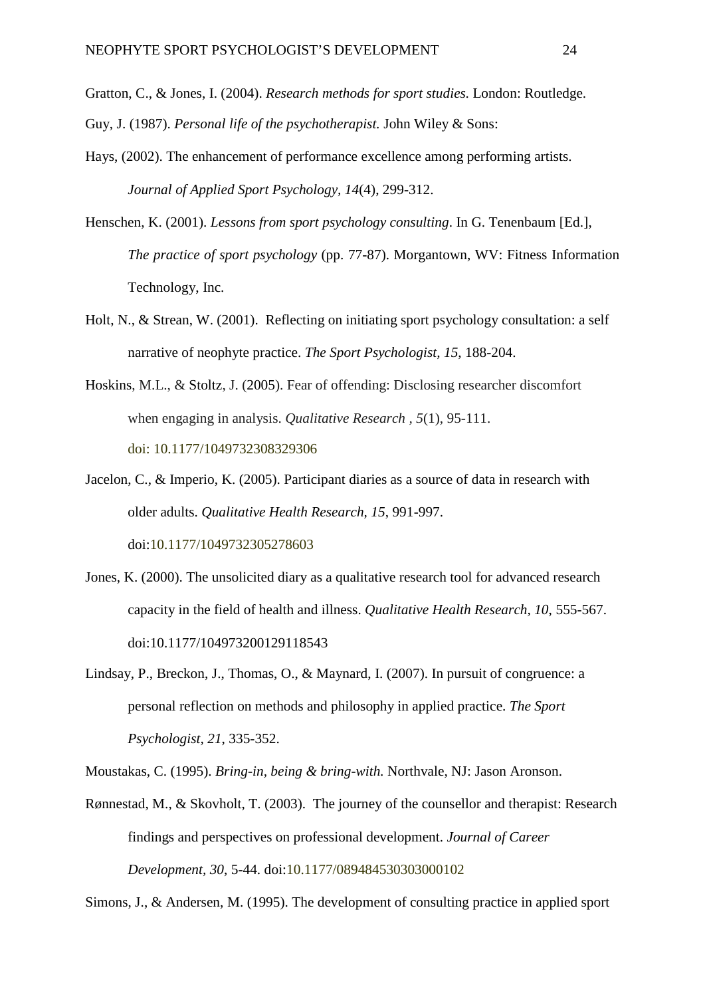Gratton, C., & Jones, I. (2004). *Research methods for sport studies.* London: Routledge.

- Guy, J. (1987). *Personal life of the psychotherapist.* John Wiley & Sons:
- Hays, (2002). The enhancement of performance excellence among performing artists. *Journal of Applied Sport Psychology, 14*(4), 299-312.
- Henschen, K. (2001). *Lessons from sport psychology consulting*. In G. Tenenbaum [Ed.], *The practice of sport psychology* (pp. 77-87). Morgantown, WV: Fitness Information Technology, Inc.
- Holt, N., & Strean, W. (2001). Reflecting on initiating sport psychology consultation: a self narrative of neophyte practice. *The Sport Psychologist, 15*, 188-204.
- Hoskins, M.L., & Stoltz, J. (2005). Fear of offending: Disclosing researcher discomfort when engaging in analysis. *Qualitative Research , 5*(1), 95-111. doi: 10.1177/1049732308329306
- Jacelon, C., & Imperio, K. (2005). Participant diaries as a source of data in research with older adults. *Qualitative Health Research, 15*, 991-997. doi:10.1177/1049732305278603
- Jones, K. (2000). The unsolicited diary as a qualitative research tool for advanced research capacity in the field of health and illness. *Qualitative Health Research, 10*, 555-567. doi:10.1177/104973200129118543
- Lindsay, P., Breckon, J., Thomas, O., & Maynard, I. (2007). In pursuit of congruence: a personal reflection on methods and philosophy in applied practice. *The Sport Psychologist, 21*, 335-352.

Moustakas, C. (1995). *Bring-in, being & bring-with.* Northvale, NJ: Jason Aronson.

Rønnestad, M., & Skovholt, T. (2003). The journey of the counsellor and therapist: Research findings and perspectives on professional development. *Journal of Career Development, 30*, 5-44. doi:10.1177/089484530303000102

Simons, J., & Andersen, M. (1995). The development of consulting practice in applied sport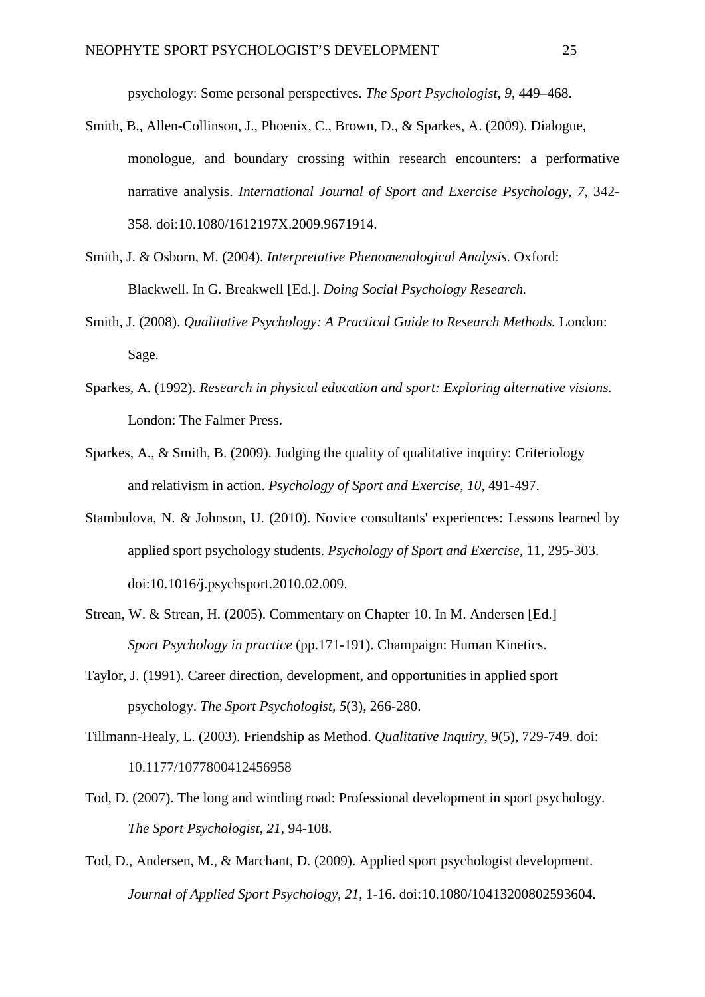psychology: Some personal perspectives. *The Sport Psychologist*, *9*, 449–468.

- Smith, B., Allen-Collinson, J., Phoenix, C., Brown, D., & Sparkes, A. (2009). Dialogue, monologue, and boundary crossing within research encounters: a performative narrative analysis. *International Journal of Sport and Exercise Psychology, 7*, 342- 358. doi:10.1080/1612197X.2009.9671914.
- Smith, J. & Osborn, M. (2004). *Interpretative Phenomenological Analysis.* Oxford: Blackwell. In G. Breakwell [Ed.]. *Doing Social Psychology Research.*
- Smith, J. (2008). *Qualitative Psychology: A Practical Guide to Research Methods.* London: Sage.
- Sparkes, A. (1992). *Research in physical education and sport: Exploring alternative visions.*  London: The Falmer Press.
- Sparkes, A., & Smith, B. (2009). Judging the quality of qualitative inquiry: Criteriology and relativism in action. *Psychology of Sport and Exercise, 10*, 491-497.
- Stambulova, N. & Johnson, U. (2010). Novice consultants' experiences: Lessons learned by applied sport psychology students. *Psychology of Sport and Exercise,* 11, 295-303. doi:10.1016/j.psychsport.2010.02.009.
- Strean, W. & Strean, H. (2005). Commentary on Chapter 10. In M. Andersen [Ed.] *Sport Psychology in practice* (pp.171-191). Champaign: Human Kinetics.
- Taylor, J. (1991). Career direction, development, and opportunities in applied sport psychology. *The Sport Psychologist, 5*(3), 266-280.
- Tillmann*-*Healy, L. (2003). Friendship as Method. *Qualitative Inquiry*, 9(5), 729-749. doi: 10.1177/1077800412456958
- Tod, D. (2007). The long and winding road: Professional development in sport psychology. *The Sport Psychologist, 21*, 94-108.
- Tod, D., Andersen, M., & Marchant, D. (2009). Applied sport psychologist development. *Journal of Applied Sport Psychology, 21*, 1-16. doi:10.1080/10413200802593604.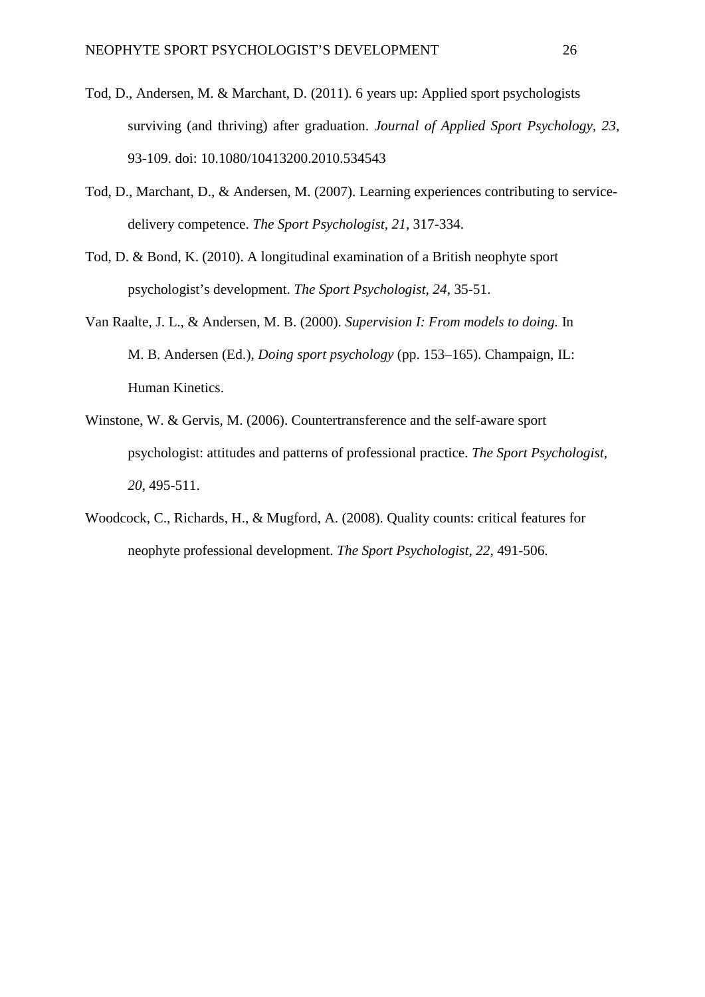- Tod, D., Andersen, M. & Marchant, D. (2011). 6 years up: Applied sport psychologists surviving (and thriving) after graduation. *Journal of Applied Sport Psychology, 23*, 93-109. doi: 10.1080/10413200.2010.534543
- Tod, D., Marchant, D., & Andersen, M. (2007). Learning experiences contributing to servicedelivery competence. *The Sport Psychologist, 21*, 317-334.
- Tod, D. & Bond, K. (2010). A longitudinal examination of a British neophyte sport psychologist's development. *The Sport Psychologist, 24*, 35-51.
- Van Raalte, J. L., & Andersen, M. B. (2000). *Supervision I: From models to doing.* In M. B. Andersen (Ed.), *Doing sport psychology* (pp. 153–165). Champaign, IL: Human Kinetics.
- Winstone, W. & Gervis, M. (2006). Countertransference and the self-aware sport psychologist: attitudes and patterns of professional practice. *The Sport Psychologist, 20*, 495-511.
- Woodcock, C., Richards, H., & Mugford, A. (2008). Quality counts: critical features for neophyte professional development. *The Sport Psychologist, 22*, 491-506.